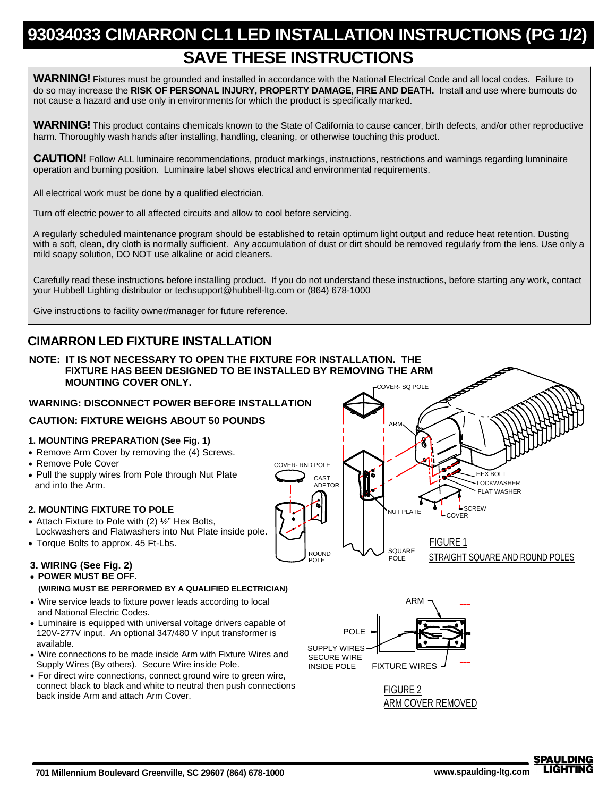## **93034033 CIMARRON CL1 LED INSTALLATION INSTRUCTIONS (PG 1/2) SAVE THESE INSTRUCTIONS**

**WARNING!** Fixtures must be grounded and installed in accordance with the National Electrical Code and all local codes. Failure to do so may increase the **RISK OF PERSONAL INJURY, PROPERTY DAMAGE, FIRE AND DEATH.** Install and use where burnouts do not cause a hazard and use only in environments for which the product is specifically marked.

**WARNING!** This product contains chemicals known to the State of California to cause cancer, birth defects, and/or other reproductive harm. Thoroughly wash hands after installing, handling, cleaning, or otherwise touching this product.

**CAUTION!** Follow ALL luminaire recommendations, product markings, instructions, restrictions and warnings regarding lumninaire operation and burning position. Luminaire label shows electrical and environmental requirements.

All electrical work must be done by a qualified electrician.

Turn off electric power to all affected circuits and allow to cool before servicing.

A regularly scheduled maintenance program should be established to retain optimum light output and reduce heat retention. Dusting with a soft, clean, dry cloth is normally sufficient. Any accumulation of dust or dirt should be removed regularly from the lens. Use only a mild soapy solution, DO NOT use alkaline or acid cleaners.

Carefully read these instructions before installing product. If you do not understand these instructions, before starting any work, contact your Hubbell Lighting distributor or techsupport@hubbell-ltg.com or (864) 678-1000

Give instructions to facility owner/manager for future reference.

## **CIMARRON LED FIXTURE INSTALLATION**



**SPAULDING**